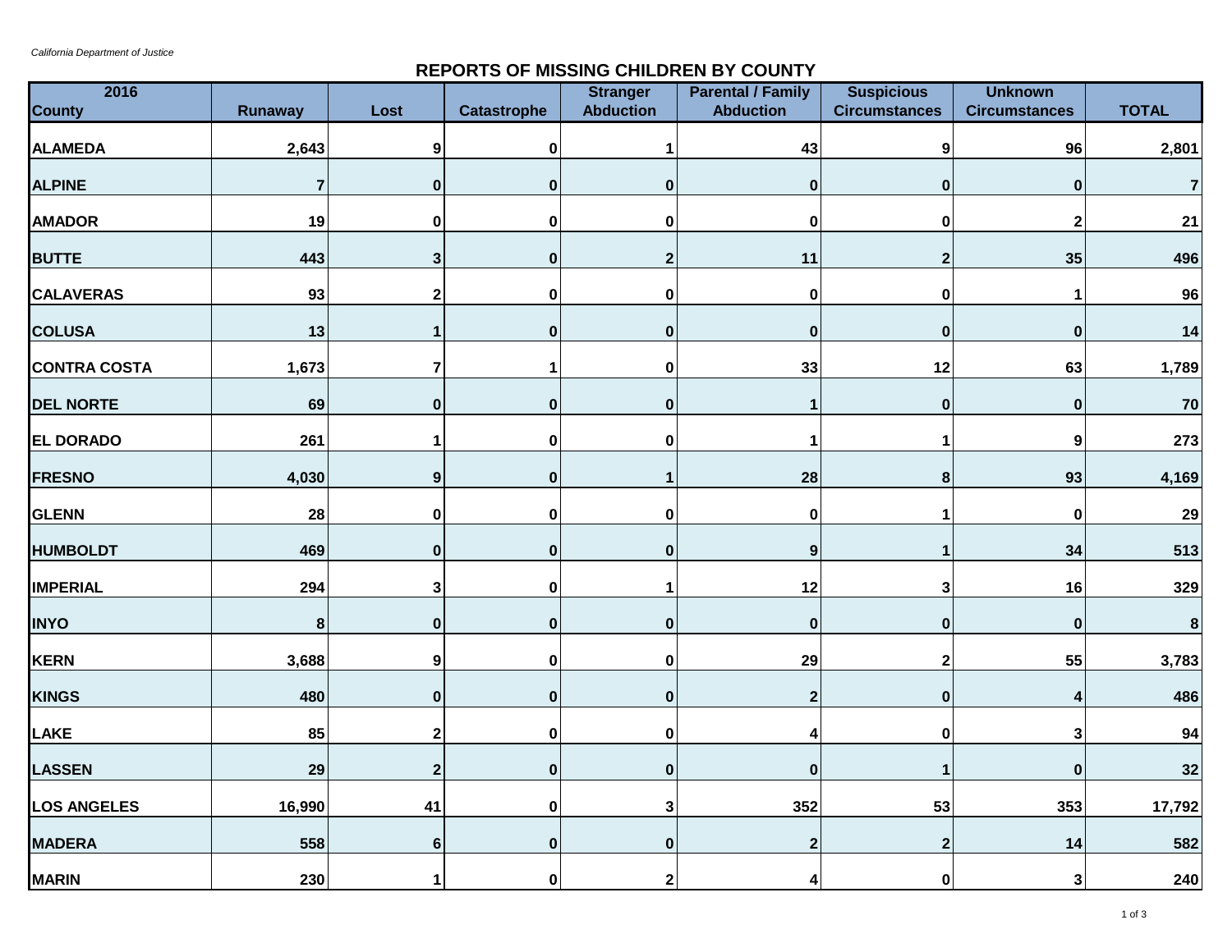## **REPORTS OF MISSING CHILDREN BY COUNTY**

| 2016<br><b>County</b> | <b>Runaway</b>          | Lost                    | <b>Catastrophe</b> | <b>Stranger</b><br><b>Abduction</b> | <b>Parental / Family</b><br><b>Abduction</b> | <b>Suspicious</b><br><b>Circumstances</b> | <b>Unknown</b><br><b>Circumstances</b> | <b>TOTAL</b>   |
|-----------------------|-------------------------|-------------------------|--------------------|-------------------------------------|----------------------------------------------|-------------------------------------------|----------------------------------------|----------------|
|                       |                         |                         |                    |                                     |                                              |                                           |                                        |                |
| <b>ALAMEDA</b>        | 2,643                   | 9                       | $\mathbf 0$        | 1                                   | 43                                           | $\boldsymbol{9}$                          | 96                                     | 2,801          |
| <b>ALPINE</b>         | $\overline{\mathbf{r}}$ | $\pmb{0}$               | $\bf{0}$           | $\pmb{0}$                           | 0                                            | $\bf{0}$                                  | $\bf{0}$                               | $\overline{7}$ |
| <b>AMADOR</b>         | 19                      | $\mathbf 0$             | $\mathbf 0$        | 0                                   | 0                                            | $\mathbf 0$                               | $\mathbf{2}$                           | 21             |
| <b>BUTTE</b>          | 443                     | $\mathbf{3}$            | $\pmb{0}$          | $\mathbf{2}$                        | 11                                           | $\boldsymbol{2}$                          | 35                                     | 496            |
| <b>CALAVERAS</b>      | 93                      | $\mathbf 2$             | $\pmb{0}$          | $\pmb{0}$                           | $\pmb{0}$                                    | $\pmb{0}$                                 |                                        | 96             |
| <b>COLUSA</b>         | 13                      | 1                       | $\bf{0}$           | $\pmb{0}$                           | 0                                            | $\bf{0}$                                  | $\bf{0}$                               | 14             |
| <b>CONTRA COSTA</b>   | 1,673                   | $\overline{\mathbf{7}}$ | 1                  | $\pmb{0}$                           | 33                                           | 12                                        | 63                                     | 1,789          |
| <b>DEL NORTE</b>      | 69                      | $\pmb{0}$               | $\mathbf 0$        | $\bf{0}$                            | 1                                            | $\mathbf 0$                               | $\bf{0}$                               | $70\,$         |
| EL DORADO             | 261                     | 1                       | 0                  | 0                                   | 1                                            | 1                                         | 9                                      | 273            |
| <b>FRESNO</b>         | 4,030                   | $\boldsymbol{9}$        | $\pmb{0}$          | $\mathbf{1}$                        | 28                                           | $\pmb{8}$                                 | 93                                     | 4,169          |
| <b>GLENN</b>          | 28                      | $\pmb{0}$               | $\mathbf 0$        | $\pmb{0}$                           | $\pmb{0}$                                    | $\mathbf 1$                               | 0                                      | 29             |
| <b>HUMBOLDT</b>       | 469                     | $\pmb{0}$               | $\bf{0}$           | $\pmb{0}$                           | $\boldsymbol{9}$                             | $\mathbf{1}$                              | 34                                     | 513            |
| <b>IMPERIAL</b>       | 294                     | 3                       | $\mathbf 0$        | $\mathbf 1$                         | 12                                           | 3                                         | 16                                     | 329            |
| <b>INYO</b>           | $\bf 8$                 | $\mathbf 0$             | $\mathbf{0}$       | $\pmb{0}$                           | $\pmb{0}$                                    | $\pmb{0}$                                 | $\bf{0}$                               | $\bf 8$        |
| <b>KERN</b>           | 3,688                   | $\boldsymbol{9}$        | $\pmb{0}$          | $\pmb{0}$                           | 29                                           | $\boldsymbol{2}$                          | 55                                     | 3,783          |
| <b>KINGS</b>          | 480                     | $\bf{0}$                | $\mathbf{0}$       | $\pmb{0}$                           | 2                                            | $\mathbf 0$                               |                                        | 486            |
| LAKE                  | 85                      | 2                       | $\pmb{0}$          | $\pmb{0}$                           | 4                                            | $\pmb{0}$                                 | 3                                      | 94             |
| <b>LASSEN</b>         | 29                      | $\overline{\mathbf{2}}$ | $\mathbf 0$        | $\pmb{0}$                           | $\pmb{0}$                                    | 1                                         | $\bf{0}$                               | 32             |
| <b>LOS ANGELES</b>    | 16,990                  | 41                      | 0                  | 3                                   | 352                                          | 53                                        | 353                                    | 17,792         |
| <b>MADERA</b>         | 558                     | $\bf 6$                 | $\pmb{0}$          | $\pmb{0}$                           | $\mathbf 2$                                  | $\overline{2}$                            | 14                                     | 582            |
| <b>MARIN</b>          | 230                     | 1                       | $\mathbf 0$        | $\mathbf 2$                         | 4                                            | $\mathbf 0$                               | $\mathbf{3}$                           | 240            |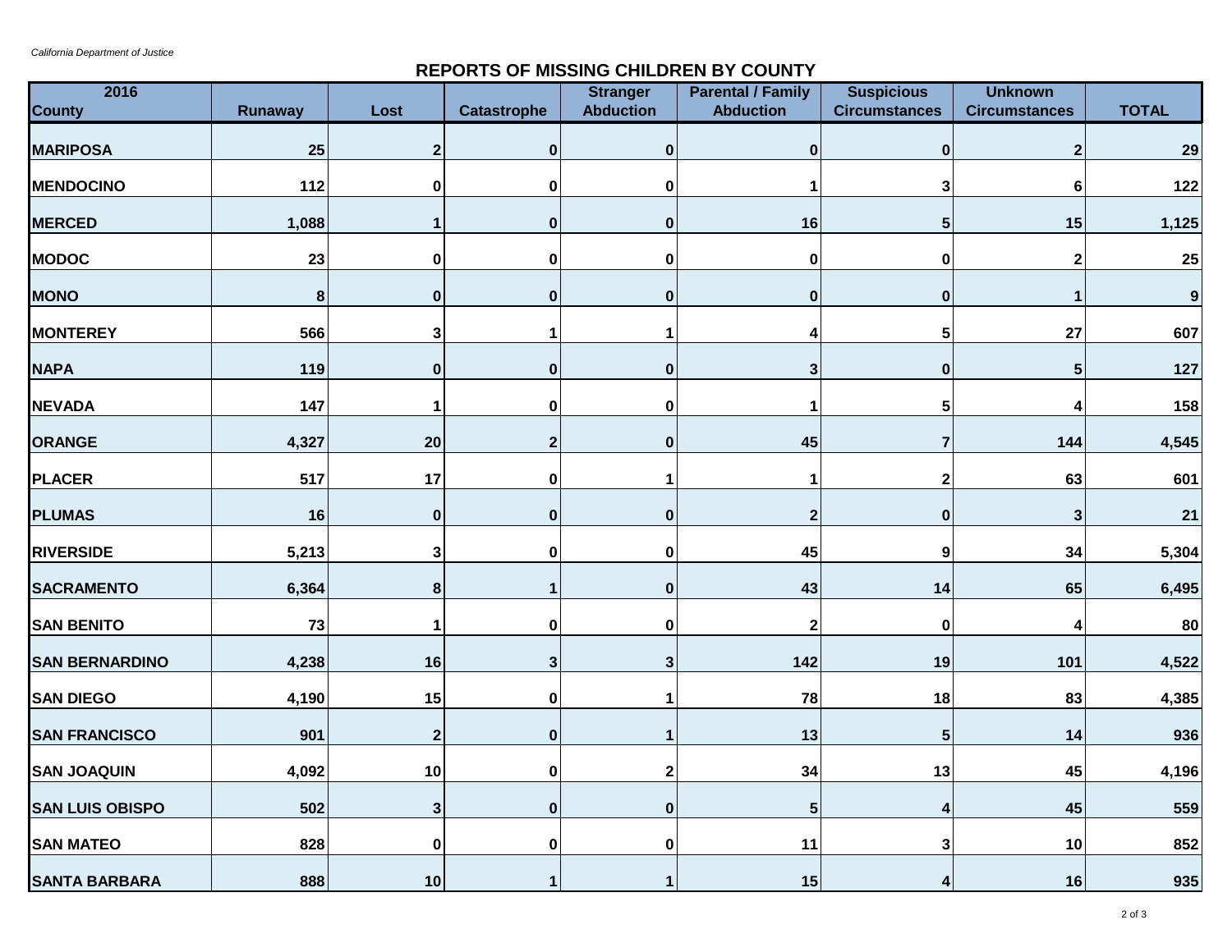## **REPORTS OF MISSING CHILDREN BY COUNTY**

| 2016<br><b>County</b>  | <b>Runaway</b> | Lost         | <b>Catastrophe</b> | <b>Stranger</b><br><b>Abduction</b> | <b>Parental / Family</b><br><b>Abduction</b> | <b>Suspicious</b><br><b>Circumstances</b> | <b>Unknown</b><br><b>Circumstances</b> | <b>TOTAL</b>     |
|------------------------|----------------|--------------|--------------------|-------------------------------------|----------------------------------------------|-------------------------------------------|----------------------------------------|------------------|
| <b>MARIPOSA</b>        | 25             | $\mathbf 2$  | $\mathbf{0}$       | $\bf{0}$                            | 0                                            | $\bf{0}$                                  | $\mathbf 2$                            | 29               |
| <b>MENDOCINO</b>       | 112            | 0            | 0                  | 0                                   |                                              | 3                                         | 6                                      | 122              |
| <b>MERCED</b>          | 1,088          | 1            | $\bf{0}$           | $\pmb{0}$                           | 16                                           | $\sqrt{5}$                                | 15                                     | 1,125            |
| <b>MODOC</b>           | 23             | 0            | 0                  | 0                                   | 0                                            | 0                                         | 2                                      | 25               |
| <b>MONO</b>            | 8              | 0            | $\boldsymbol{0}$   | $\bf{0}$                            | 0                                            | $\pmb{0}$                                 |                                        | $\boldsymbol{9}$ |
| <b>MONTEREY</b>        | 566            | 3            |                    | 1                                   | 4                                            | 5                                         | 27                                     | 607              |
| <b>NAPA</b>            | 119            | $\mathbf 0$  | $\mathbf 0$        | $\pmb{0}$                           | 3                                            | $\pmb{0}$                                 | 5                                      | 127              |
| <b>NEVADA</b>          | 147            | 1            | $\pmb{0}$          | 0                                   | 1                                            | 5                                         |                                        | 158              |
| <b>ORANGE</b>          | 4,327          | 20           | $\mathbf{2}$       | $\bf{0}$                            | 45                                           | $\overline{7}$                            | 144                                    | 4,545            |
| <b>PLACER</b>          | 517            | 17           | $\mathbf 0$        | $\mathbf 1$                         | 1                                            | $\boldsymbol{2}$                          | 63                                     | 601              |
| <b>PLUMAS</b>          | 16             | $\pmb{0}$    | $\mathbf 0$        | $\pmb{0}$                           | $\mathbf 2$                                  | $\pmb{0}$                                 | $\mathbf{3}$                           | 21               |
| <b>RIVERSIDE</b>       | 5,213          | 3            | 0                  | 0                                   | 45                                           | $\boldsymbol{9}$                          | 34                                     | 5,304            |
| <b>SACRAMENTO</b>      | 6,364          | 8            |                    | $\bf{0}$                            | 43                                           | 14                                        | 65                                     | 6,495            |
| <b>SAN BENITO</b>      | 73             | 1            | 0                  | 0                                   | $\mathbf 2$                                  | $\mathbf 0$                               |                                        | 80               |
| <b>SAN BERNARDINO</b>  | 4,238          | 16           | $\mathbf{3}$       | 3                                   | 142                                          | 19                                        | 101                                    | 4,522            |
| <b>SAN DIEGO</b>       | 4,190          | 15           | $\mathbf 0$        | 1                                   | 78                                           | 18                                        | 83                                     | 4,385            |
| <b>SAN FRANCISCO</b>   | 901            | $\mathbf{2}$ | $\mathbf{0}$       | $\mathbf 1$                         | 13                                           | $5\phantom{1}$                            | 14                                     | 936              |
| <b>SAN JOAQUIN</b>     | 4,092          | 10           | $\mathbf 0$        | 2                                   | 34                                           | 13                                        | 45                                     | 4,196            |
| <b>SAN LUIS OBISPO</b> | 502            | 3            | $\bf{0}$           | $\bf{0}$                            | 5                                            | 4                                         | 45                                     | 559              |
| <b>SAN MATEO</b>       | 828            | 0            | $\mathbf 0$        | 0                                   | 11                                           | $\mathbf{3}$                              | 10                                     | 852              |
| <b>SANTA BARBARA</b>   | 888            | 10           | $\mathbf{1}$       | 1                                   | 15                                           | 4                                         | 16                                     | 935              |